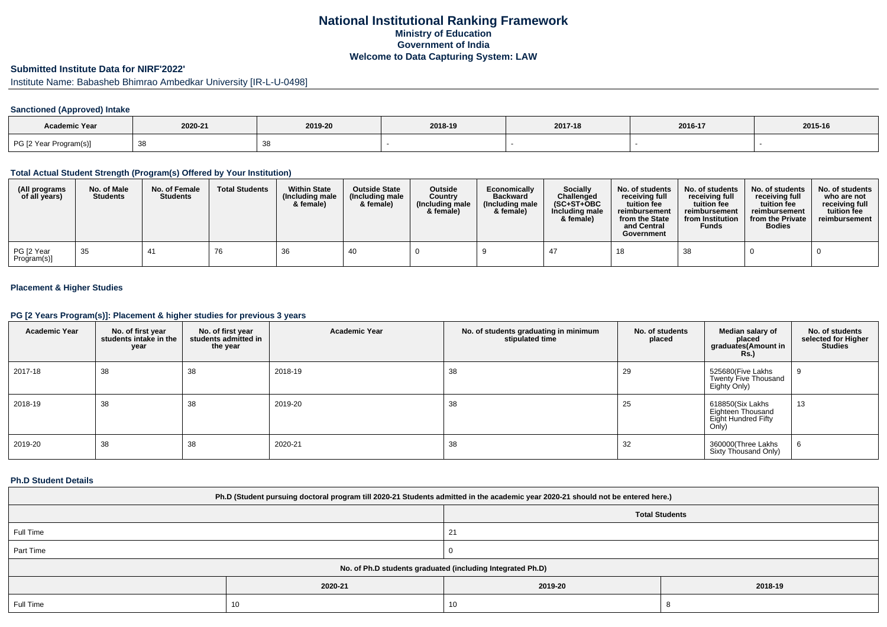# **National Institutional Ranking FrameworkMinistry of Education Government of IndiaWelcome to Data Capturing System: LAW**

# **Submitted Institute Data for NIRF'2022'**

Institute Name: Babasheb Bhimrao Ambedkar University [IR-L-U-0498]

## **Sanctioned (Approved) Intake**

| <b>Academic Year</b>   |                      |         |         |         |         |         |
|------------------------|----------------------|---------|---------|---------|---------|---------|
|                        | 2020-21              | 2019-20 | 2018-19 | 2017-18 | 2016-17 | 2015-16 |
| PG [2 Year Program(s)] | $\sim$ $\sim$<br>ັບບ |         |         |         |         |         |

#### **Total Actual Student Strength (Program(s) Offered by Your Institution)**

| (All programs<br>of all years) | No. of Male<br><b>Students</b> | No. of Female<br><b>Students</b> | <b>Total Students</b> | <b>Within State</b><br>(Including male<br>& female) | <b>Outside State</b><br>(Including male)<br>& female) | <b>Outside</b><br>Country<br>(Including male<br>& female) | Economically<br><b>Backward</b><br>(Including male<br>& female) | <b>Socially</b><br>Challenged<br>$(SC+ST+OBC)$<br>Including male<br>& female) | No. of students<br>receivina full<br>tuition fee<br>reimbursement<br>from the State<br>and Central<br>Government | No. of students<br>receiving full<br>tuition fee<br>reimbursement<br>from Institution<br><b>Funds</b> | No. of students<br>receiving full<br>tuition fee<br>reimbursement<br>from the Private<br><b>Bodies</b> | No. of students<br>who are not<br>receiving full<br>tuition fee<br>reimbursement |
|--------------------------------|--------------------------------|----------------------------------|-----------------------|-----------------------------------------------------|-------------------------------------------------------|-----------------------------------------------------------|-----------------------------------------------------------------|-------------------------------------------------------------------------------|------------------------------------------------------------------------------------------------------------------|-------------------------------------------------------------------------------------------------------|--------------------------------------------------------------------------------------------------------|----------------------------------------------------------------------------------|
| PG [2 Year<br>Program(s)]      | -35                            | 4 <sup>1</sup>                   | 76                    | 36                                                  | 40                                                    |                                                           |                                                                 | 47                                                                            |                                                                                                                  | 38                                                                                                    |                                                                                                        |                                                                                  |

## **Placement & Higher Studies**

#### **PG [2 Years Program(s)]: Placement & higher studies for previous 3 years**

| <b>Academic Year</b> | No. of first year<br>students intake in the<br>year | No. of first year<br>students admitted in<br>the year | <b>Academic Year</b> | No. of students graduating in minimum<br>stipulated time | No. of students<br>placed | Median salary of<br>placed<br>graduates(Amount in<br><b>Rs.)</b>      | No. of students<br>selected for Higher<br><b>Studies</b> |
|----------------------|-----------------------------------------------------|-------------------------------------------------------|----------------------|----------------------------------------------------------|---------------------------|-----------------------------------------------------------------------|----------------------------------------------------------|
| 2017-18              | 38                                                  | 38                                                    | 2018-19              | 38                                                       | 29                        | 525680(Five Lakhs<br>Twenty Five Thousand<br>Eighty Only)             | 9                                                        |
| 2018-19              | 38                                                  | 38                                                    | 2019-20              | 38                                                       | 25                        | 618850(Six Lakhs<br>Eighteen Thousand<br>Eight Hundred Fifty<br>Only) | 13                                                       |
| 2019-20              | 38                                                  | 38                                                    | 2020-21              | 38                                                       | 32                        | 360000(Three Lakhs<br>Sixty Thousand Only)                            | O                                                        |

#### **Ph.D Student Details**

| Ph.D (Student pursuing doctoral program till 2020-21 Students admitted in the academic year 2020-21 should not be entered here.) |         |                       |         |  |  |  |
|----------------------------------------------------------------------------------------------------------------------------------|---------|-----------------------|---------|--|--|--|
|                                                                                                                                  |         | <b>Total Students</b> |         |  |  |  |
| Full Time                                                                                                                        |         | 21                    |         |  |  |  |
| Part Time                                                                                                                        |         |                       |         |  |  |  |
| No. of Ph.D students graduated (including Integrated Ph.D)                                                                       |         |                       |         |  |  |  |
|                                                                                                                                  | 2020-21 | 2019-20               | 2018-19 |  |  |  |
| Full Time                                                                                                                        | 10      | 10                    |         |  |  |  |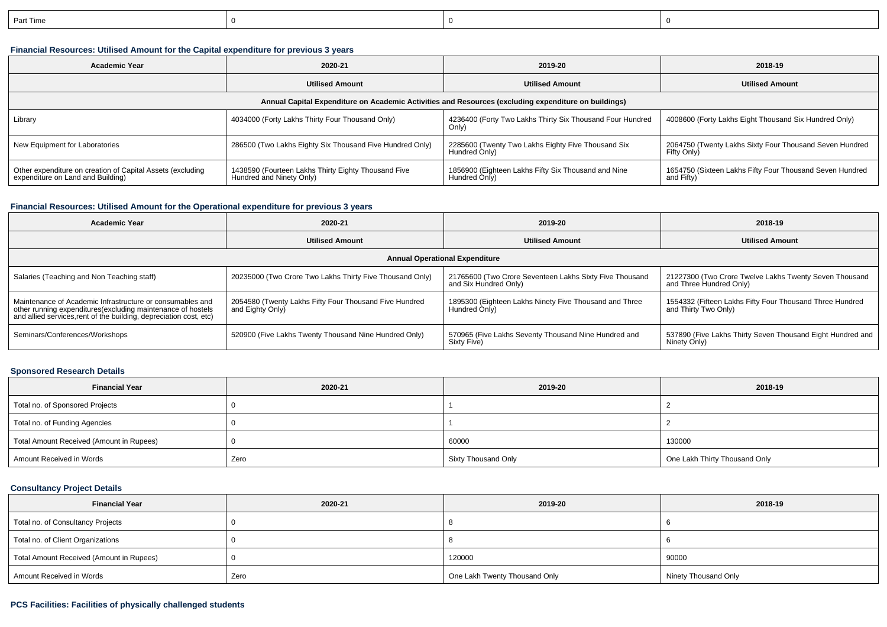| ⊓…<br>art Time |  |  |
|----------------|--|--|
|                |  |  |

## **Financial Resources: Utilised Amount for the Capital expenditure for previous 3 years**

| <b>Academic Year</b>                                                                                 | 2020-21                                                                         | 2019-20                                                              | 2018-19                                                                |  |  |  |  |  |
|------------------------------------------------------------------------------------------------------|---------------------------------------------------------------------------------|----------------------------------------------------------------------|------------------------------------------------------------------------|--|--|--|--|--|
|                                                                                                      | <b>Utilised Amount</b>                                                          | <b>Utilised Amount</b>                                               | <b>Utilised Amount</b>                                                 |  |  |  |  |  |
| Annual Capital Expenditure on Academic Activities and Resources (excluding expenditure on buildings) |                                                                                 |                                                                      |                                                                        |  |  |  |  |  |
| 4034000 (Forty Lakhs Thirty Four Thousand Only)<br>Library                                           |                                                                                 | 4236400 (Forty Two Lakhs Thirty Six Thousand Four Hundred<br>Only)   | 4008600 (Forty Lakhs Eight Thousand Six Hundred Only)                  |  |  |  |  |  |
| New Equipment for Laboratories                                                                       | 286500 (Two Lakhs Eighty Six Thousand Five Hundred Only)                        | 2285600 (Twenty Two Lakhs Eighty Five Thousand Six<br>Hundred Only)  | 2064750 (Twenty Lakhs Sixty Four Thousand Seven Hundred<br>Fifty Only) |  |  |  |  |  |
| Other expenditure on creation of Capital Assets (excluding<br>expenditure on Land and Building)      | 1438590 (Fourteen Lakhs Thirty Eighty Thousand Five<br>Hundred and Ninety Only) | 1856900 (Eighteen Lakhs Fifty Six Thousand and Nine<br>Hundred Only) | 1654750 (Sixteen Lakhs Fifty Four Thousand Seven Hundred<br>and Fifty) |  |  |  |  |  |

### **Financial Resources: Utilised Amount for the Operational expenditure for previous 3 years**

| Academic Year                                                                                                                                                                                   | 2020-21                                                                    | 2019-20                                                                          | 2018-19                                                                           |  |  |  |  |  |
|-------------------------------------------------------------------------------------------------------------------------------------------------------------------------------------------------|----------------------------------------------------------------------------|----------------------------------------------------------------------------------|-----------------------------------------------------------------------------------|--|--|--|--|--|
|                                                                                                                                                                                                 | <b>Utilised Amount</b>                                                     | <b>Utilised Amount</b>                                                           | <b>Utilised Amount</b>                                                            |  |  |  |  |  |
| <b>Annual Operational Expenditure</b>                                                                                                                                                           |                                                                            |                                                                                  |                                                                                   |  |  |  |  |  |
| Salaries (Teaching and Non Teaching staff)                                                                                                                                                      | 20235000 (Two Crore Two Lakhs Thirty Five Thousand Only)                   | 21765600 (Two Crore Seventeen Lakhs Sixty Five Thousand<br>and Six Hundred Only) | 21227300 (Two Crore Twelve Lakhs Twenty Seven Thousand<br>and Three Hundred Only) |  |  |  |  |  |
| Maintenance of Academic Infrastructure or consumables and<br>other running expenditures (excluding maintenance of hostels<br>and allied services, rent of the building, depreciation cost, etc) | 2054580 (Twenty Lakhs Fifty Four Thousand Five Hundred<br>and Eighty Only) | 1895300 (Eighteen Lakhs Ninety Five Thousand and Three<br>Hundred Only)          | 1554332 (Fifteen Lakhs Fifty Four Thousand Three Hundred<br>and Thirty Two Only)  |  |  |  |  |  |
| Seminars/Conferences/Workshops                                                                                                                                                                  | 520900 (Five Lakhs Twenty Thousand Nine Hundred Only)                      | 570965 (Five Lakhs Seventy Thousand Nine Hundred and<br>Sixty Five)              | 537890 (Five Lakhs Thirty Seven Thousand Eight Hundred and<br>Ninety Only)        |  |  |  |  |  |

## **Sponsored Research Details**

| <b>Financial Year</b>                    | 2020-21 | 2019-20             | 2018-19                       |
|------------------------------------------|---------|---------------------|-------------------------------|
| Total no. of Sponsored Projects          |         |                     |                               |
| Total no. of Funding Agencies            |         |                     |                               |
| Total Amount Received (Amount in Rupees) |         | 60000               | 130000                        |
| Amount Received in Words                 | Zero    | Sixty Thousand Only | One Lakh Thirty Thousand Only |

### **Consultancy Project Details**

| <b>Financial Year</b>                    | 2020-21 | 2019-20                       | 2018-19              |  |
|------------------------------------------|---------|-------------------------------|----------------------|--|
| Total no. of Consultancy Projects        |         |                               |                      |  |
| Total no. of Client Organizations        |         |                               |                      |  |
| Total Amount Received (Amount in Rupees) |         | 120000                        | 90000                |  |
| Amount Received in Words                 | Zero    | One Lakh Twenty Thousand Only | Ninety Thousand Only |  |

### **PCS Facilities: Facilities of physically challenged students**